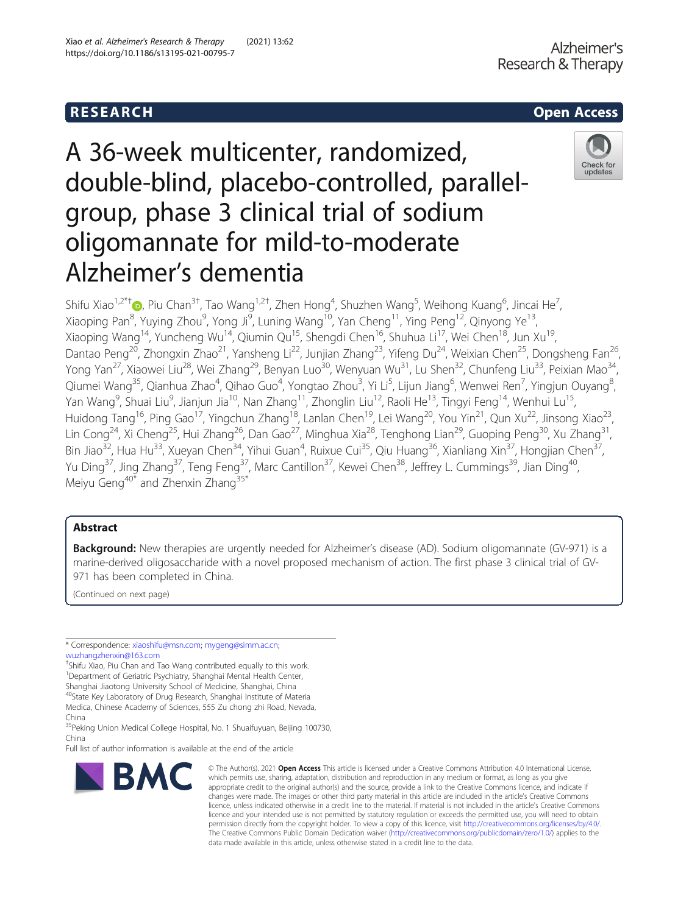# **RESEARCH CHILD CONTROL** CONTROL CONTROL CONTROL CONTROL CONTROL CONTROL CONTROL CONTROL CONTROL CONTROL CONTROL CONTROL CONTROL CONTROL CONTROL CONTROL CONTROL CONTROL CONTROL CONTROL CONTROL CONTROL CONTROL CONTROL CONTR

Xiao et al. Alzheimer's Research & Therapy (2021) 13:62

https://doi.org/10.1186/s13195-021-00795-7

# A 36-week multicenter, randomized, double-blind, placebo-controlled, parallelgroup, phase 3 clinical trial of sodium oligomannate for mild-to-moderate Alzheimer's dementia



Shifu Xiao $^{1,2^{*}+}$  , Piu Chan $^{3+}$ , Tao Wang $^{1,2^{+}}$ , Zhen Hong $^{4}$ , Shuzhen Wang $^{5}$ , Weihong Kuang $^{6}$ , Jincai He $^{7}$ , Xiaoping Pan<sup>8</sup>, Yuying Zhou<sup>9</sup>, Yong Ji<sup>9</sup>, Luning Wang<sup>10</sup>, Yan Cheng<sup>11</sup>, Ying Peng<sup>12</sup>, Qinyong Ye<sup>13</sup>, Xiaoping Wang<sup>14</sup>, Yuncheng Wu<sup>14</sup>, Qiumin Qu<sup>15</sup>, Shengdi Chen<sup>16</sup>, Shuhua Li<sup>17</sup>, Wei Chen<sup>18</sup>, Jun Xu<sup>19</sup>, Dantao Peng<sup>20</sup>, Zhongxin Zhao<sup>21</sup>, Yansheng Li<sup>22</sup>, Junjian Zhang<sup>23</sup>, Yifeng Du<sup>24</sup>, Weixian Chen<sup>25</sup>, Dongsheng Fan<sup>26</sup>, Yong Yan<sup>27</sup>, Xiaowei Liu<sup>28</sup>, Wei Zhang<sup>29</sup>, Benyan Luo<sup>30</sup>, Wenyuan Wu<sup>31</sup>, Lu Shen<sup>32</sup>, Chunfeng Liu<sup>33</sup>, Peixian Mao<sup>34</sup>, Qiumei Wang<sup>35</sup>, Qianhua Zhao<sup>4</sup>, Qihao Guo<sup>4</sup>, Yongtao Zhou<sup>3</sup>, Yi Li<sup>5</sup>, Lijun Jiang<sup>6</sup>, Wenwei Ren<sup>7</sup>, Yingjun Ouyang<sup>8</sup> , Yan Wang<sup>9</sup>, Shuai Liu<sup>9</sup>, Jianjun Jia<sup>10</sup>, Nan Zhang<sup>11</sup>, Zhonglin Liu<sup>12</sup>, Raoli He<sup>13</sup>, Tingyi Feng<sup>14</sup>, Wenhui Lu<sup>15</sup>, Huidong Tang<sup>16</sup>, Ping Gao<sup>17</sup>, Yingchun Zhang<sup>18</sup>, Lanlan Chen<sup>19</sup>, Lei Wang<sup>20</sup>, You Yin<sup>21</sup>, Qun Xu<sup>22</sup>, Jinsong Xiao<sup>23</sup>, Lin Cong<sup>24</sup>, Xi Cheng<sup>25</sup>, Hui Zhang<sup>26</sup>, Dan Gao<sup>27</sup>, Minghua Xia<sup>28</sup>, Tenghong Lian<sup>29</sup>, Guoping Peng<sup>30</sup>, Xu Zhang<sup>31</sup>, Bin Jiao<sup>32</sup>, Hua Hu<sup>33</sup>, Xueyan Chen<sup>34</sup>, Yihui Guan<sup>4</sup>, Ruixue Cui<sup>35</sup>, Qiu Huang<sup>36</sup>, Xianliang Xin<sup>37</sup>, Hongjian Chen<sup>37</sup>, Yu Ding<sup>37</sup>, Jing Zhang<sup>37</sup>, Teng Feng<sup>37</sup>, Marc Cantillon<sup>37</sup>, Kewei Chen<sup>38</sup>, Jeffrey L. Cummings<sup>39</sup>, Jian Ding<sup>40</sup>, Meiyu Geng<sup>40\*</sup> and Zhenxin Zhang<sup>35\*</sup>

# Abstract

Background: New therapies are urgently needed for Alzheimer's disease (AD). Sodium oligomannate (GV-971) is a marine-derived oligosaccharide with a novel proposed mechanism of action. The first phase 3 clinical trial of GV-971 has been completed in China.

(Continued on next page)

† Shifu Xiao, Piu Chan and Tao Wang contributed equally to this work. <sup>1</sup>Department of Geriatric Psychiatry, Shanghai Mental Health Center, Shanghai Jiaotong University School of Medicine, Shanghai, China

40State Key Laboratory of Drug Research, Shanghai Institute of Materia Medica, Chinese Academy of Sciences, 555 Zu chong zhi Road, Nevada, China

<sup>35</sup>Peking Union Medical College Hospital, No. 1 Shuaifuyuan, Beijing 100730, China

Full list of author information is available at the end of the article



<sup>©</sup> The Author(s), 2021 **Open Access** This article is licensed under a Creative Commons Attribution 4.0 International License, which permits use, sharing, adaptation, distribution and reproduction in any medium or format, as long as you give appropriate credit to the original author(s) and the source, provide a link to the Creative Commons licence, and indicate if changes were made. The images or other third party material in this article are included in the article's Creative Commons licence, unless indicated otherwise in a credit line to the material. If material is not included in the article's Creative Commons licence and your intended use is not permitted by statutory regulation or exceeds the permitted use, you will need to obtain permission directly from the copyright holder. To view a copy of this licence, visit [http://creativecommons.org/licenses/by/4.0/.](http://creativecommons.org/licenses/by/4.0/) The Creative Commons Public Domain Dedication waiver [\(http://creativecommons.org/publicdomain/zero/1.0/](http://creativecommons.org/publicdomain/zero/1.0/)) applies to the data made available in this article, unless otherwise stated in a credit line to the data.

<sup>\*</sup> Correspondence: [xiaoshifu@msn.com;](mailto:xiaoshifu@msn.com) [mygeng@simm.ac.cn](mailto:mygeng@simm.ac.cn); [wuzhangzhenxin@163.com](mailto:wuzhangzhenxin@163.com)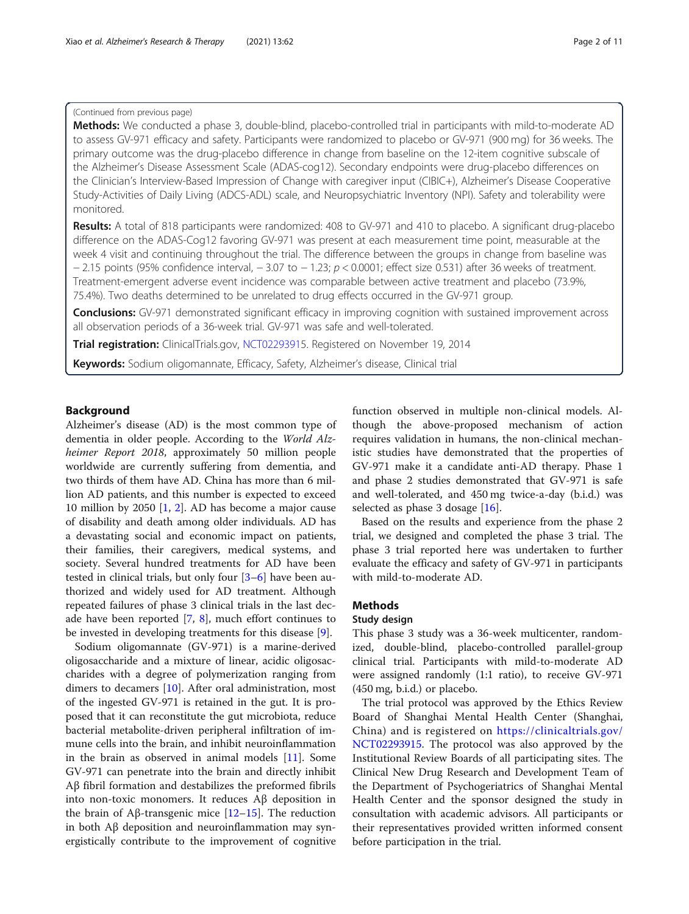# (Continued from previous page)

Methods: We conducted a phase 3, double-blind, placebo-controlled trial in participants with mild-to-moderate AD to assess GV-971 efficacy and safety. Participants were randomized to placebo or GV-971 (900 mg) for 36 weeks. The primary outcome was the drug-placebo difference in change from baseline on the 12-item cognitive subscale of the Alzheimer's Disease Assessment Scale (ADAS-cog12). Secondary endpoints were drug-placebo differences on the Clinician's Interview-Based Impression of Change with caregiver input (CIBIC+), Alzheimer's Disease Cooperative Study-Activities of Daily Living (ADCS-ADL) scale, and Neuropsychiatric Inventory (NPI). Safety and tolerability were monitored.

Results: A total of 818 participants were randomized: 408 to GV-971 and 410 to placebo. A significant drug-placebo difference on the ADAS-Cog12 favoring GV-971 was present at each measurement time point, measurable at the week 4 visit and continuing throughout the trial. The difference between the groups in change from baseline was  $-$  2.15 points (95% confidence interval,  $-$  3.07 to  $-$  1.23;  $p < 0.0001$ ; effect size 0.531) after 36 weeks of treatment. Treatment-emergent adverse event incidence was comparable between active treatment and placebo (73.9%, 75.4%). Two deaths determined to be unrelated to drug effects occurred in the GV-971 group.

**Conclusions:** GV-971 demonstrated significant efficacy in improving cognition with sustained improvement across all observation periods of a 36-week trial. GV-971 was safe and well-tolerated.

Trial registration: ClinicalTrials.gov, [NCT0229391](https://clinicaltrials.gov/ct2/show/NCT02293915)5. Registered on November 19, 2014

Keywords: Sodium oligomannate, Efficacy, Safety, Alzheimer's disease, Clinical trial

# Background

Alzheimer's disease (AD) is the most common type of dementia in older people. According to the World Alzheimer Report 2018, approximately 50 million people worldwide are currently suffering from dementia, and two thirds of them have AD. China has more than 6 million AD patients, and this number is expected to exceed 10 million by 2050 [[1,](#page-10-0) [2](#page-10-0)]. AD has become a major cause of disability and death among older individuals. AD has a devastating social and economic impact on patients, their families, their caregivers, medical systems, and society. Several hundred treatments for AD have been tested in clinical trials, but only four [[3](#page-10-0)–[6](#page-10-0)] have been authorized and widely used for AD treatment. Although repeated failures of phase 3 clinical trials in the last decade have been reported  $[7, 8]$  $[7, 8]$  $[7, 8]$  $[7, 8]$  $[7, 8]$ , much effort continues to be invested in developing treatments for this disease [\[9](#page-10-0)].

Sodium oligomannate (GV-971) is a marine-derived oligosaccharide and a mixture of linear, acidic oligosaccharides with a degree of polymerization ranging from dimers to decamers [[10\]](#page-10-0). After oral administration, most of the ingested GV-971 is retained in the gut. It is proposed that it can reconstitute the gut microbiota, reduce bacterial metabolite-driven peripheral infiltration of immune cells into the brain, and inhibit neuroinflammation in the brain as observed in animal models [\[11\]](#page-10-0). Some GV-971 can penetrate into the brain and directly inhibit Aβ fibril formation and destabilizes the preformed fibrils into non-toxic monomers. It reduces Aβ deposition in the brain of Aβ-transgenic mice  $[12-15]$  $[12-15]$  $[12-15]$  $[12-15]$ . The reduction in both Aβ deposition and neuroinflammation may synergistically contribute to the improvement of cognitive

function observed in multiple non-clinical models. Although the above-proposed mechanism of action requires validation in humans, the non-clinical mechanistic studies have demonstrated that the properties of GV-971 make it a candidate anti-AD therapy. Phase 1 and phase 2 studies demonstrated that GV-971 is safe and well-tolerated, and 450 mg twice-a-day (b.i.d.) was selected as phase 3 dosage [[16\]](#page-10-0).

Based on the results and experience from the phase 2 trial, we designed and completed the phase 3 trial. The phase 3 trial reported here was undertaken to further evaluate the efficacy and safety of GV-971 in participants with mild-to-moderate AD.

# Methods

# Study design

This phase 3 study was a 36-week multicenter, randomized, double-blind, placebo-controlled parallel-group clinical trial. Participants with mild-to-moderate AD were assigned randomly (1:1 ratio), to receive GV-971 (450 mg, b.i.d.) or placebo.

The trial protocol was approved by the Ethics Review Board of Shanghai Mental Health Center (Shanghai, China) and is registered on [https://clinicaltrials.gov/](https://clinicaltrials.gov/NCT02293915) [NCT02293915.](https://clinicaltrials.gov/NCT02293915) The protocol was also approved by the Institutional Review Boards of all participating sites. The Clinical New Drug Research and Development Team of the Department of Psychogeriatrics of Shanghai Mental Health Center and the sponsor designed the study in consultation with academic advisors. All participants or their representatives provided written informed consent before participation in the trial.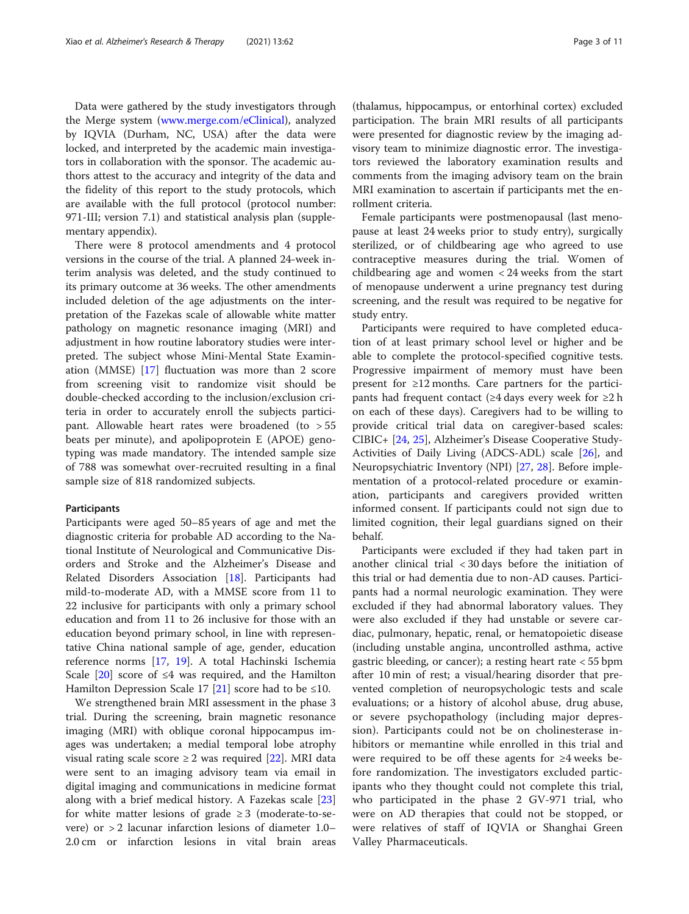Data were gathered by the study investigators through the Merge system [\(www.merge.com/eClinical](http://www.merge.com/eClinical)), analyzed by IQVIA (Durham, NC, USA) after the data were locked, and interpreted by the academic main investigators in collaboration with the sponsor. The academic authors attest to the accuracy and integrity of the data and the fidelity of this report to the study protocols, which are available with the full protocol (protocol number: 971-III; version 7.1) and statistical analysis plan (supplementary appendix).

There were 8 protocol amendments and 4 protocol versions in the course of the trial. A planned 24-week interim analysis was deleted, and the study continued to its primary outcome at 36 weeks. The other amendments included deletion of the age adjustments on the interpretation of the Fazekas scale of allowable white matter pathology on magnetic resonance imaging (MRI) and adjustment in how routine laboratory studies were interpreted. The subject whose Mini-Mental State Examination (MMSE) [[17\]](#page-10-0) fluctuation was more than 2 score from screening visit to randomize visit should be double-checked according to the inclusion/exclusion criteria in order to accurately enroll the subjects participant. Allowable heart rates were broadened (to  $> 55$ beats per minute), and apolipoprotein E (APOE) genotyping was made mandatory. The intended sample size of 788 was somewhat over-recruited resulting in a final sample size of 818 randomized subjects.

# **Participants**

Participants were aged 50–85 years of age and met the diagnostic criteria for probable AD according to the National Institute of Neurological and Communicative Disorders and Stroke and the Alzheimer's Disease and Related Disorders Association [[18\]](#page-10-0). Participants had mild-to-moderate AD, with a MMSE score from 11 to 22 inclusive for participants with only a primary school education and from 11 to 26 inclusive for those with an education beyond primary school, in line with representative China national sample of age, gender, education reference norms [\[17](#page-10-0), [19](#page-10-0)]. A total Hachinski Ischemia Scale  $[20]$  $[20]$  score of ≤4 was required, and the Hamilton Hamilton Depression Scale 17 [[21](#page-10-0)] score had to be  $\leq 10$ .

We strengthened brain MRI assessment in the phase 3 trial. During the screening, brain magnetic resonance imaging (MRI) with oblique coronal hippocampus images was undertaken; a medial temporal lobe atrophy visual rating scale score  $\geq 2$  was required [\[22\]](#page-10-0). MRI data were sent to an imaging advisory team via email in digital imaging and communications in medicine format along with a brief medical history. A Fazekas scale [[23](#page-10-0)] for white matter lesions of grade  $\geq 3$  (moderate-to-severe) or > 2 lacunar infarction lesions of diameter 1.0– 2.0 cm or infarction lesions in vital brain areas

(thalamus, hippocampus, or entorhinal cortex) excluded participation. The brain MRI results of all participants were presented for diagnostic review by the imaging advisory team to minimize diagnostic error. The investigators reviewed the laboratory examination results and comments from the imaging advisory team on the brain MRI examination to ascertain if participants met the enrollment criteria.

Female participants were postmenopausal (last menopause at least 24 weeks prior to study entry), surgically sterilized, or of childbearing age who agreed to use contraceptive measures during the trial. Women of childbearing age and women < 24 weeks from the start of menopause underwent a urine pregnancy test during screening, and the result was required to be negative for study entry.

Participants were required to have completed education of at least primary school level or higher and be able to complete the protocol-specified cognitive tests. Progressive impairment of memory must have been present for ≥12 months. Care partners for the participants had frequent contact (≥4 days every week for ≥2 h on each of these days). Caregivers had to be willing to provide critical trial data on caregiver-based scales: CIBIC+ [\[24](#page-10-0), [25\]](#page-10-0), Alzheimer's Disease Cooperative Study-Activities of Daily Living (ADCS-ADL) scale [[26](#page-10-0)], and Neuropsychiatric Inventory (NPI) [\[27](#page-10-0), [28](#page-10-0)]. Before implementation of a protocol-related procedure or examination, participants and caregivers provided written informed consent. If participants could not sign due to limited cognition, their legal guardians signed on their behalf.

Participants were excluded if they had taken part in another clinical trial < 30 days before the initiation of this trial or had dementia due to non-AD causes. Participants had a normal neurologic examination. They were excluded if they had abnormal laboratory values. They were also excluded if they had unstable or severe cardiac, pulmonary, hepatic, renal, or hematopoietic disease (including unstable angina, uncontrolled asthma, active gastric bleeding, or cancer); a resting heart rate < 55 bpm after 10 min of rest; a visual/hearing disorder that prevented completion of neuropsychologic tests and scale evaluations; or a history of alcohol abuse, drug abuse, or severe psychopathology (including major depression). Participants could not be on cholinesterase inhibitors or memantine while enrolled in this trial and were required to be off these agents for ≥4 weeks before randomization. The investigators excluded participants who they thought could not complete this trial, who participated in the phase 2 GV-971 trial, who were on AD therapies that could not be stopped, or were relatives of staff of IQVIA or Shanghai Green Valley Pharmaceuticals.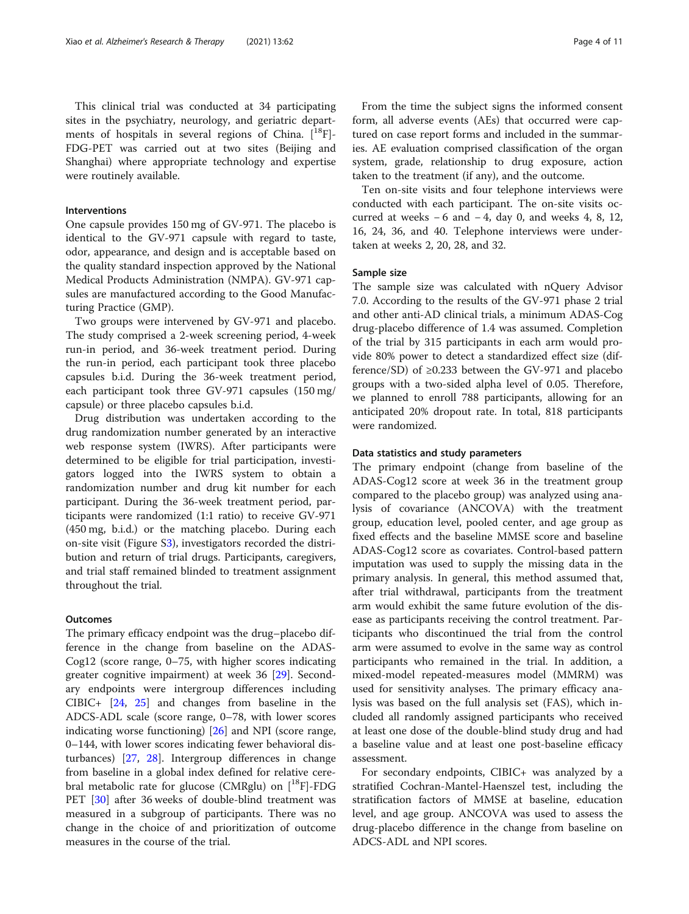This clinical trial was conducted at 34 participating sites in the psychiatry, neurology, and geriatric departments of hospitals in several regions of China.  $[$ <sup>18</sup>F $]$ -FDG-PET was carried out at two sites (Beijing and Shanghai) where appropriate technology and expertise were routinely available.

# Interventions

One capsule provides 150 mg of GV-971. The placebo is identical to the GV-971 capsule with regard to taste, odor, appearance, and design and is acceptable based on the quality standard inspection approved by the National Medical Products Administration (NMPA). GV-971 capsules are manufactured according to the Good Manufacturing Practice (GMP).

Two groups were intervened by GV-971 and placebo. The study comprised a 2-week screening period, 4-week run-in period, and 36-week treatment period. During the run-in period, each participant took three placebo capsules b.i.d. During the 36-week treatment period, each participant took three GV-971 capsules (150 mg/ capsule) or three placebo capsules b.i.d.

Drug distribution was undertaken according to the drug randomization number generated by an interactive web response system (IWRS). After participants were determined to be eligible for trial participation, investigators logged into the IWRS system to obtain a randomization number and drug kit number for each participant. During the 36-week treatment period, participants were randomized (1:1 ratio) to receive GV-971 (450 mg, b.i.d.) or the matching placebo. During each on-site visit (Figure S[3\)](#page-9-0), investigators recorded the distribution and return of trial drugs. Participants, caregivers, and trial staff remained blinded to treatment assignment throughout the trial.

# **Outcomes**

The primary efficacy endpoint was the drug–placebo difference in the change from baseline on the ADAS-Cog12 (score range, 0–75, with higher scores indicating greater cognitive impairment) at week 36 [\[29](#page-10-0)]. Secondary endpoints were intergroup differences including CIBIC+ [[24,](#page-10-0) [25](#page-10-0)] and changes from baseline in the ADCS-ADL scale (score range, 0–78, with lower scores indicating worse functioning) [[26\]](#page-10-0) and NPI (score range, 0–144, with lower scores indicating fewer behavioral disturbances) [[27,](#page-10-0) [28\]](#page-10-0). Intergroup differences in change from baseline in a global index defined for relative cerebral metabolic rate for glucose (CMRglu) on  $[^{18}F]$ -FDG PET [[30\]](#page-10-0) after 36 weeks of double-blind treatment was measured in a subgroup of participants. There was no change in the choice of and prioritization of outcome measures in the course of the trial.

From the time the subject signs the informed consent form, all adverse events (AEs) that occurred were captured on case report forms and included in the summaries. AE evaluation comprised classification of the organ system, grade, relationship to drug exposure, action taken to the treatment (if any), and the outcome.

Ten on-site visits and four telephone interviews were conducted with each participant. The on-site visits occurred at weeks  $-6$  and  $-4$ , day 0, and weeks 4, 8, 12, 16, 24, 36, and 40. Telephone interviews were undertaken at weeks 2, 20, 28, and 32.

#### Sample size

The sample size was calculated with nQuery Advisor 7.0. According to the results of the GV-971 phase 2 trial and other anti-AD clinical trials, a minimum ADAS-Cog drug-placebo difference of 1.4 was assumed. Completion of the trial by 315 participants in each arm would provide 80% power to detect a standardized effect size (difference/SD) of  $\geq$ 0.233 between the GV-971 and placebo groups with a two-sided alpha level of 0.05. Therefore, we planned to enroll 788 participants, allowing for an anticipated 20% dropout rate. In total, 818 participants were randomized.

# Data statistics and study parameters

The primary endpoint (change from baseline of the ADAS-Cog12 score at week 36 in the treatment group compared to the placebo group) was analyzed using analysis of covariance (ANCOVA) with the treatment group, education level, pooled center, and age group as fixed effects and the baseline MMSE score and baseline ADAS-Cog12 score as covariates. Control-based pattern imputation was used to supply the missing data in the primary analysis. In general, this method assumed that, after trial withdrawal, participants from the treatment arm would exhibit the same future evolution of the disease as participants receiving the control treatment. Participants who discontinued the trial from the control arm were assumed to evolve in the same way as control participants who remained in the trial. In addition, a mixed-model repeated-measures model (MMRM) was used for sensitivity analyses. The primary efficacy analysis was based on the full analysis set (FAS), which included all randomly assigned participants who received at least one dose of the double-blind study drug and had a baseline value and at least one post-baseline efficacy assessment.

For secondary endpoints, CIBIC+ was analyzed by a stratified Cochran-Mantel-Haenszel test, including the stratification factors of MMSE at baseline, education level, and age group. ANCOVA was used to assess the drug-placebo difference in the change from baseline on ADCS-ADL and NPI scores.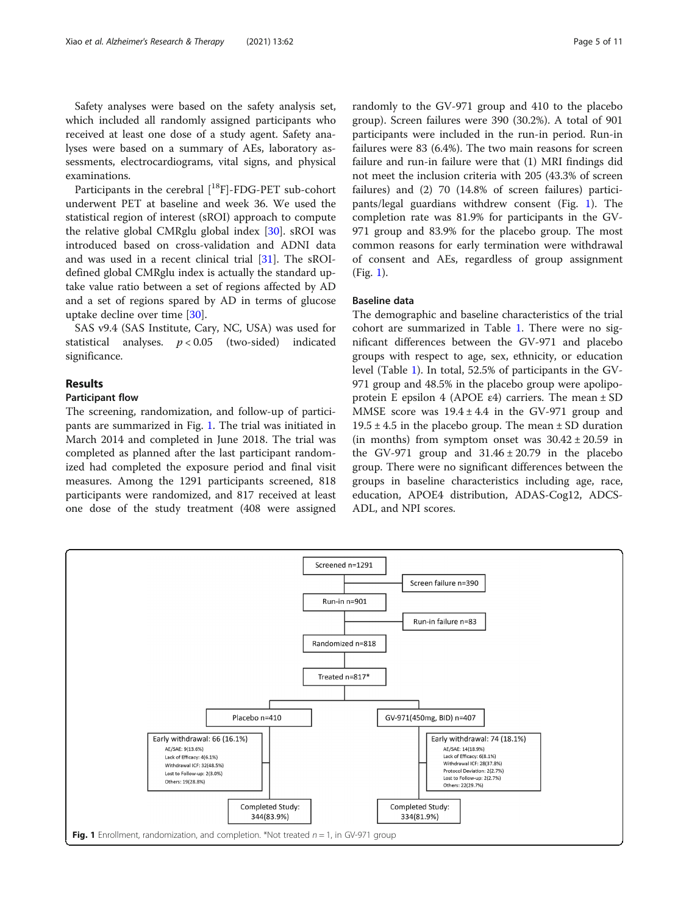Safety analyses were based on the safety analysis set, which included all randomly assigned participants who received at least one dose of a study agent. Safety analyses were based on a summary of AEs, laboratory assessments, electrocardiograms, vital signs, and physical examinations.

Participants in the cerebral [<sup>18</sup>F]-FDG-PET sub-cohort underwent PET at baseline and week 36. We used the statistical region of interest (sROI) approach to compute the relative global CMRglu global index [[30\]](#page-10-0). sROI was introduced based on cross-validation and ADNI data and was used in a recent clinical trial [\[31](#page-10-0)]. The sROIdefined global CMRglu index is actually the standard uptake value ratio between a set of regions affected by AD and a set of regions spared by AD in terms of glucose uptake decline over time [[30\]](#page-10-0).

SAS v9.4 (SAS Institute, Cary, NC, USA) was used for statistical analyses.  $p < 0.05$  (two-sided) indicated significance.

# Results

# Participant flow

The screening, randomization, and follow-up of participants are summarized in Fig. 1. The trial was initiated in March 2014 and completed in June 2018. The trial was completed as planned after the last participant randomized had completed the exposure period and final visit measures. Among the 1291 participants screened, 818 participants were randomized, and 817 received at least one dose of the study treatment (408 were assigned

randomly to the GV-971 group and 410 to the placebo group). Screen failures were 390 (30.2%). A total of 901 participants were included in the run-in period. Run-in failures were 83 (6.4%). The two main reasons for screen failure and run-in failure were that (1) MRI findings did not meet the inclusion criteria with 205 (43.3% of screen failures) and (2) 70 (14.8% of screen failures) participants/legal guardians withdrew consent (Fig. 1). The completion rate was 81.9% for participants in the GV-971 group and 83.9% for the placebo group. The most common reasons for early termination were withdrawal of consent and AEs, regardless of group assignment (Fig. 1).

# Baseline data

The demographic and baseline characteristics of the trial cohort are summarized in Table [1.](#page-5-0) There were no significant differences between the GV-971 and placebo groups with respect to age, sex, ethnicity, or education level (Table [1\)](#page-5-0). In total, 52.5% of participants in the GV-971 group and 48.5% in the placebo group were apolipoprotein E epsilon 4 (APOE  $\varepsilon$ 4) carriers. The mean  $\pm$  SD MMSE score was  $19.4 \pm 4.4$  in the GV-971 group and  $19.5 \pm 4.5$  in the placebo group. The mean  $\pm$  SD duration (in months) from symptom onset was  $30.42 \pm 20.59$  in the GV-971 group and  $31.46 \pm 20.79$  in the placebo group. There were no significant differences between the groups in baseline characteristics including age, race, education, APOE4 distribution, ADAS-Cog12, ADCS-ADL, and NPI scores.

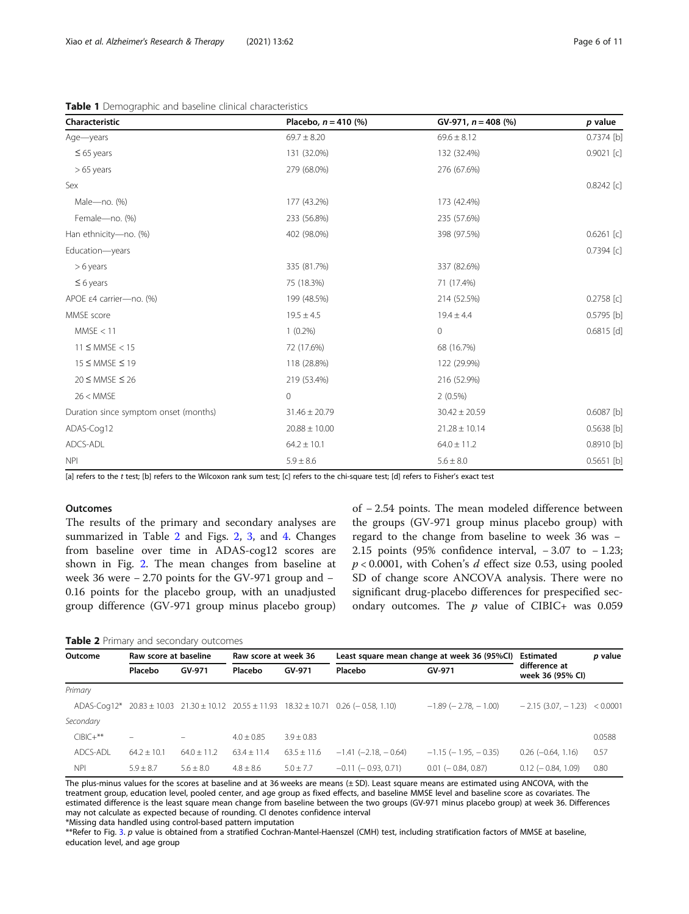<span id="page-5-0"></span>Table 1 Demographic and baseline clinical characteristics

| Characteristic                        | Placebo, $n = 410$ (%) | $GV-971, n = 408 (%)$ | p value      |
|---------------------------------------|------------------------|-----------------------|--------------|
| Age-years                             | $69.7 \pm 8.20$        | $69.6 \pm 8.12$       | $0.7374$ [b] |
| $\leq 65$ years                       | 131 (32.0%)            | 132 (32.4%)           | $0.9021$ [c] |
| $>65$ years                           | 279 (68.0%)            | 276 (67.6%)           |              |
| Sex                                   |                        |                       | $0.8242$ [c] |
| Male-no. (%)                          | 177 (43.2%)            | 173 (42.4%)           |              |
| Female-no. (%)                        | 233 (56.8%)            | 235 (57.6%)           |              |
| Han ethnicity-no. (%)                 | 402 (98.0%)            | 398 (97.5%)           | $0.6261$ [c] |
| Education-years                       |                        |                       | $0.7394$ [c] |
| $> 6$ years                           | 335 (81.7%)            | 337 (82.6%)           |              |
| $\leq 6$ years                        | 75 (18.3%)             | 71 (17.4%)            |              |
| APOE ε4 carrier-no. (%)               | 199 (48.5%)            | 214 (52.5%)           | $0.2758$ [c] |
| MMSE score                            | $19.5 \pm 4.5$         | $19.4 \pm 4.4$        | 0.5795 [b]   |
| MMSE < 11                             | $1(0.2\%)$             | $\mathsf{O}\xspace$   | $0.6815$ [d] |
| $11 \leq MMSE < 15$                   | 72 (17.6%)             | 68 (16.7%)            |              |
| 15 ≤ MMSE ≤ 19                        | 118 (28.8%)            | 122 (29.9%)           |              |
| $20 \leq MMSE \leq 26$                | 219 (53.4%)            | 216 (52.9%)           |              |
| 26 < MMSE                             | $\Omega$               | $2(0.5\%)$            |              |
| Duration since symptom onset (months) | $31.46 \pm 20.79$      | $30.42 \pm 20.59$     | 0.6087 [b]   |
| ADAS-Cog12                            | $20.88 \pm 10.00$      | $21.28 \pm 10.14$     | 0.5638 [b]   |
| ADCS-ADL                              | $64.2 \pm 10.1$        | $64.0 \pm 11.2$       | 0.8910 [b]   |
| <b>NPI</b>                            | $5.9 \pm 8.6$          | $5.6 \pm 8.0$         | $0.5651$ [b] |

[a] refers to the t test; [b] refers to the Wilcoxon rank sum test; [c] refers to the chi-square test; [d] refers to Fisher's exact test

#### **Outcomes**

The results of the primary and secondary analyses are summarized in Table 2 and Figs. [2](#page-6-0), [3](#page-6-0), and [4](#page-7-0). Changes from baseline over time in ADAS-cog12 scores are shown in Fig. [2](#page-6-0). The mean changes from baseline at week 36 were − 2.70 points for the GV-971 group and − 0.16 points for the placebo group, with an unadjusted group difference (GV-971 group minus placebo group) of − 2.54 points. The mean modeled difference between the groups (GV-971 group minus placebo group) with regard to the change from baseline to week 36 was − 2.15 points (95% confidence interval, − 3.07 to − 1.23;  $p < 0.0001$ , with Cohen's d effect size 0.53, using pooled SD of change score ANCOVA analysis. There were no significant drug-placebo differences for prespecified secondary outcomes. The  $p$  value of CIBIC+ was 0.059

#### Table 2 Primary and secondary outcomes

| Outcome     | Raw score at baseline |               | Raw score at week 36 |               | Least square mean change at week 36 (95%CI)                                                              |                               | Estimated                         | p value |
|-------------|-----------------------|---------------|----------------------|---------------|----------------------------------------------------------------------------------------------------------|-------------------------------|-----------------------------------|---------|
|             | Placebo               | GV-971        | Placebo              | GV-971        | Placebo                                                                                                  | GV-971                        | difference at<br>week 36 (95% CI) |         |
| Primary     |                       |               |                      |               |                                                                                                          |                               |                                   |         |
|             |                       |               |                      |               | ADAS-Coq12* $20.83 \pm 10.03$ $21.30 \pm 10.12$ $20.55 \pm 11.93$ $18.32 \pm 10.71$ $0.26 (-0.58, 1.10)$ | $-1.89$ ( $-2.78$ , $-1.00$ ) | $-2.15(3.07 - 1.23) < 0.0001$     |         |
| Secondary   |                       |               |                      |               |                                                                                                          |                               |                                   |         |
| $CIBIC+***$ | $\equiv$              |               | $4.0 + 0.85$         | $3.9 + 0.83$  |                                                                                                          |                               |                                   | 0.0588  |
| ADCS-ADL    | $64.2 + 10.1$         | $64.0 + 11.2$ | $63.4 + 11.4$        | $63.5 + 11.6$ | $-1.41$ (-2.18. - 0.64)                                                                                  | $-1.15$ ( $-1.95$ , $-0.35$ ) | $0.26$ ( $-0.64$ , 1.16)          | 0.57    |
| <b>NPI</b>  | $5.9 + 8.7$           | $5.6 + 8.0$   | $4.8 + 8.6$          | $5.0 \pm 7.7$ | $-0.11$ ( $-0.93$ , 0.71)                                                                                | $0.01$ ( $-0.84$ , 0.87)      | $0.12$ (- 0.84, 1.09)             | 0.80    |

The plus-minus values for the scores at baseline and at 36 weeks are means (± SD). Least square means are estimated using ANCOVA, with the treatment group, education level, pooled center, and age group as fixed effects, and baseline MMSE level and baseline score as covariates. The estimated difference is the least square mean change from baseline between the two groups (GV-971 minus placebo group) at week 36. Differences may not calculate as expected because of rounding. CI denotes confidence interval \*Missing data handled using control-based pattern imputation

\*\*Refer to Fig. [3.](#page-6-0) p value is obtained from a stratified Cochran-Mantel-Haenszel (CMH) test, including stratification factors of MMSE at baseline, education level, and age group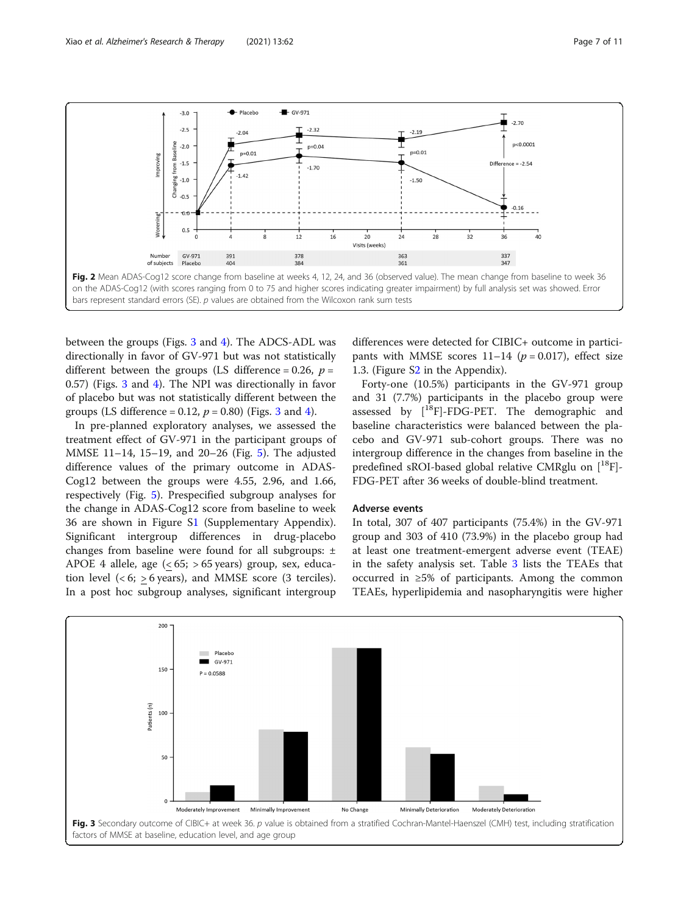<span id="page-6-0"></span>

between the groups (Figs. 3 and [4\)](#page-7-0). The ADCS-ADL was directionally in favor of GV-971 but was not statistically different between the groups (LS difference = 0.26,  $p =$ 0.57) (Figs. 3 and [4](#page-7-0)). The NPI was directionally in favor of placebo but was not statistically different between the groups (LS difference = 0.12,  $p = 0.80$ ) (Figs. 3 and [4\)](#page-7-0).

In pre-planned exploratory analyses, we assessed the treatment effect of GV-971 in the participant groups of MMSE 11–14, 15–19, and 20–26 (Fig. [5](#page-7-0)). The adjusted difference values of the primary outcome in ADAS-Cog12 between the groups were 4.55, 2.96, and 1.66, respectively (Fig. [5\)](#page-7-0). Prespecified subgroup analyses for the change in ADAS-Cog12 score from baseline to week 36 are shown in Figure S[1](#page-9-0) (Supplementary Appendix). Significant intergroup differences in drug-placebo changes from baseline were found for all subgroups: ± APOE 4 allele, age  $( $65$ ;  $> 65$  years) group, sex, educa$ tion level  $( $6$ ; > 6 years), and MMSE score (3 terciles).$ In a post hoc subgroup analyses, significant intergroup

differences were detected for CIBIC+ outcome in participants with MMSE scores  $11-14$  ( $p = 0.017$ ), effect size 1.3. (Figure S[2](#page-9-0) in the Appendix).

Forty-one (10.5%) participants in the GV-971 group and 31 (7.7%) participants in the placebo group were assessed by  $[{}^{18}F]$ -FDG-PET. The demographic and baseline characteristics were balanced between the placebo and GV-971 sub-cohort groups. There was no intergroup difference in the changes from baseline in the predefined sROI-based global relative CMRglu on  $[$ <sup>18</sup>F $]$ -FDG-PET after 36 weeks of double-blind treatment.

# Adverse events

In total, 307 of 407 participants (75.4%) in the GV-971 group and 303 of 410 (73.9%) in the placebo group had at least one treatment-emergent adverse event (TEAE) in the safety analysis set. Table [3](#page-8-0) lists the TEAEs that occurred in ≥5% of participants. Among the common TEAEs, hyperlipidemia and nasopharyngitis were higher

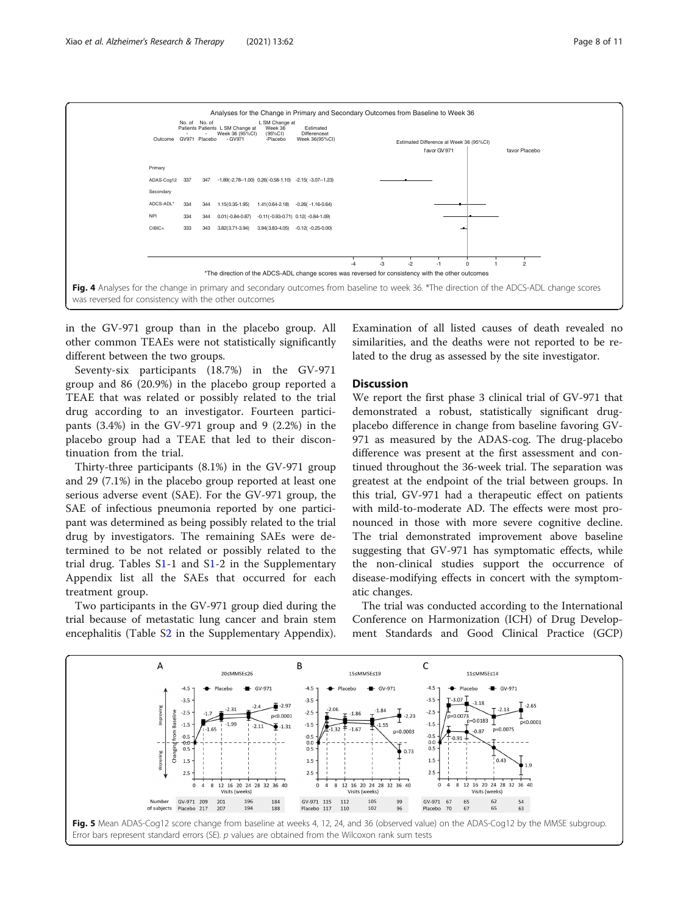<span id="page-7-0"></span>

in the GV-971 group than in the placebo group. All other common TEAEs were not statistically significantly different between the two groups.

Seventy-six participants (18.7%) in the GV-971 group and 86 (20.9%) in the placebo group reported a TEAE that was related or possibly related to the trial drug according to an investigator. Fourteen participants (3.4%) in the GV-971 group and 9 (2.2%) in the placebo group had a TEAE that led to their discontinuation from the trial.

Thirty-three participants (8.1%) in the GV-971 group and 29 (7.1%) in the placebo group reported at least one serious adverse event (SAE). For the GV-971 group, the SAE of infectious pneumonia reported by one participant was determined as being possibly related to the trial drug by investigators. The remaining SAEs were determined to be not related or possibly related to the trial drug. Tables [S1](#page-9-0)-1 and [S1](#page-9-0)-2 in the Supplementary Appendix list all the SAEs that occurred for each treatment group.

Two participants in the GV-971 group died during the trial because of metastatic lung cancer and brain stem encephalitis (Table [S2](#page-9-0) in the Supplementary Appendix).

Examination of all listed causes of death revealed no similarities, and the deaths were not reported to be related to the drug as assessed by the site investigator.

# **Discussion**

We report the first phase 3 clinical trial of GV-971 that demonstrated a robust, statistically significant drugplacebo difference in change from baseline favoring GV-971 as measured by the ADAS-cog. The drug-placebo difference was present at the first assessment and continued throughout the 36-week trial. The separation was greatest at the endpoint of the trial between groups. In this trial, GV-971 had a therapeutic effect on patients with mild-to-moderate AD. The effects were most pronounced in those with more severe cognitive decline. The trial demonstrated improvement above baseline suggesting that GV-971 has symptomatic effects, while the non-clinical studies support the occurrence of disease-modifying effects in concert with the symptomatic changes.

The trial was conducted according to the International Conference on Harmonization (ICH) of Drug Development Standards and Good Clinical Practice (GCP)

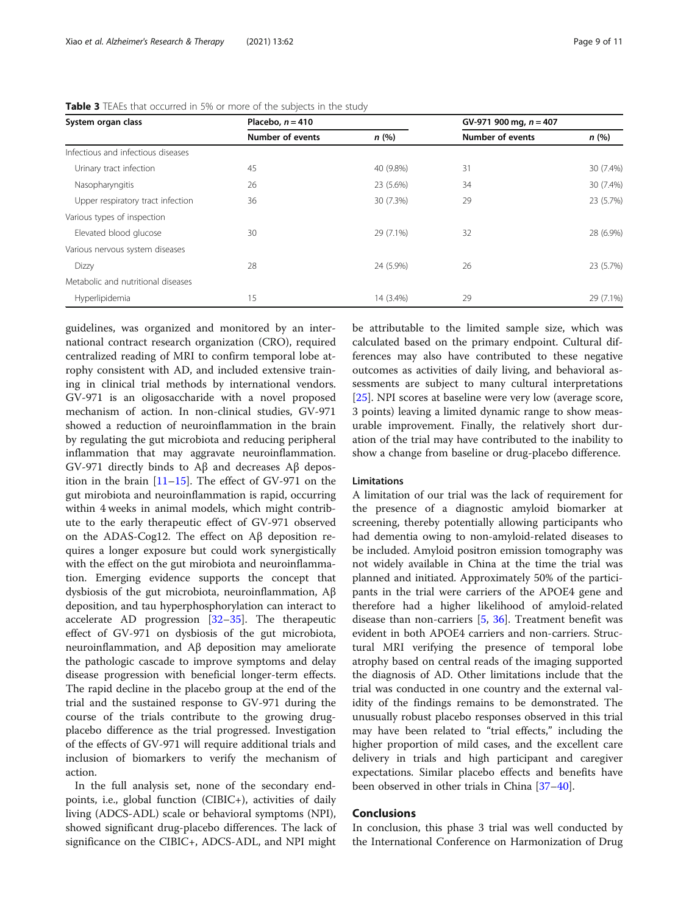| System organ class                 | Placebo, $n = 410$ |           | GV-971 900 mg, $n = 407$ |           |
|------------------------------------|--------------------|-----------|--------------------------|-----------|
|                                    | Number of events   | n(%)      | Number of events         | n(%)      |
| Infectious and infectious diseases |                    |           |                          |           |
| Urinary tract infection            | 45                 | 40 (9.8%) | 31                       | 30 (7.4%) |
| Nasopharyngitis                    | 26                 | 23 (5.6%) | 34                       | 30 (7.4%) |
| Upper respiratory tract infection  | 36                 | 30 (7.3%) | 29                       | 23 (5.7%) |
| Various types of inspection        |                    |           |                          |           |
| Elevated blood glucose             | 30                 | 29 (7.1%) | 32                       | 28 (6.9%) |
| Various nervous system diseases    |                    |           |                          |           |
| <b>Dizzy</b>                       | 28                 | 24 (5.9%) | 26                       | 23 (5.7%) |
| Metabolic and nutritional diseases |                    |           |                          |           |
| Hyperlipidemia                     | 15                 | 14 (3.4%) | 29                       | 29 (7.1%) |

<span id="page-8-0"></span>Table 3 TEAEs that occurred in 5% or more of the subjects in the study

guidelines, was organized and monitored by an international contract research organization (CRO), required centralized reading of MRI to confirm temporal lobe atrophy consistent with AD, and included extensive training in clinical trial methods by international vendors. GV-971 is an oligosaccharide with a novel proposed mechanism of action. In non-clinical studies, GV-971 showed a reduction of neuroinflammation in the brain by regulating the gut microbiota and reducing peripheral inflammation that may aggravate neuroinflammation. GV-971 directly binds to Aβ and decreases Aβ deposition in the brain [\[11](#page-10-0)–[15](#page-10-0)]. The effect of GV-971 on the gut mirobiota and neuroinflammation is rapid, occurring within 4 weeks in animal models, which might contribute to the early therapeutic effect of GV-971 observed on the ADAS-Cog12. The effect on Aβ deposition requires a longer exposure but could work synergistically with the effect on the gut mirobiota and neuroinflammation. Emerging evidence supports the concept that dysbiosis of the gut microbiota, neuroinflammation, Aβ deposition, and tau hyperphosphorylation can interact to accelerate AD progression [\[32](#page-10-0)–[35\]](#page-10-0). The therapeutic effect of GV-971 on dysbiosis of the gut microbiota, neuroinflammation, and Aβ deposition may ameliorate the pathologic cascade to improve symptoms and delay disease progression with beneficial longer-term effects. The rapid decline in the placebo group at the end of the trial and the sustained response to GV-971 during the course of the trials contribute to the growing drugplacebo difference as the trial progressed. Investigation of the effects of GV-971 will require additional trials and inclusion of biomarkers to verify the mechanism of action.

In the full analysis set, none of the secondary endpoints, i.e., global function (CIBIC+), activities of daily living (ADCS-ADL) scale or behavioral symptoms (NPI), showed significant drug-placebo differences. The lack of significance on the CIBIC+, ADCS-ADL, and NPI might

be attributable to the limited sample size, which was calculated based on the primary endpoint. Cultural differences may also have contributed to these negative outcomes as activities of daily living, and behavioral assessments are subject to many cultural interpretations [[25\]](#page-10-0). NPI scores at baseline were very low (average score, 3 points) leaving a limited dynamic range to show measurable improvement. Finally, the relatively short duration of the trial may have contributed to the inability to show a change from baseline or drug-placebo difference.

# Limitations

A limitation of our trial was the lack of requirement for the presence of a diagnostic amyloid biomarker at screening, thereby potentially allowing participants who had dementia owing to non-amyloid-related diseases to be included. Amyloid positron emission tomography was not widely available in China at the time the trial was planned and initiated. Approximately 50% of the participants in the trial were carriers of the APOE4 gene and therefore had a higher likelihood of amyloid-related disease than non-carriers [[5,](#page-10-0) [36](#page-10-0)]. Treatment benefit was evident in both APOE4 carriers and non-carriers. Structural MRI verifying the presence of temporal lobe atrophy based on central reads of the imaging supported the diagnosis of AD. Other limitations include that the trial was conducted in one country and the external validity of the findings remains to be demonstrated. The unusually robust placebo responses observed in this trial may have been related to "trial effects," including the higher proportion of mild cases, and the excellent care delivery in trials and high participant and caregiver expectations. Similar placebo effects and benefits have been observed in other trials in China [\[37](#page-10-0)–[40\]](#page-10-0).

# Conclusions

In conclusion, this phase 3 trial was well conducted by the International Conference on Harmonization of Drug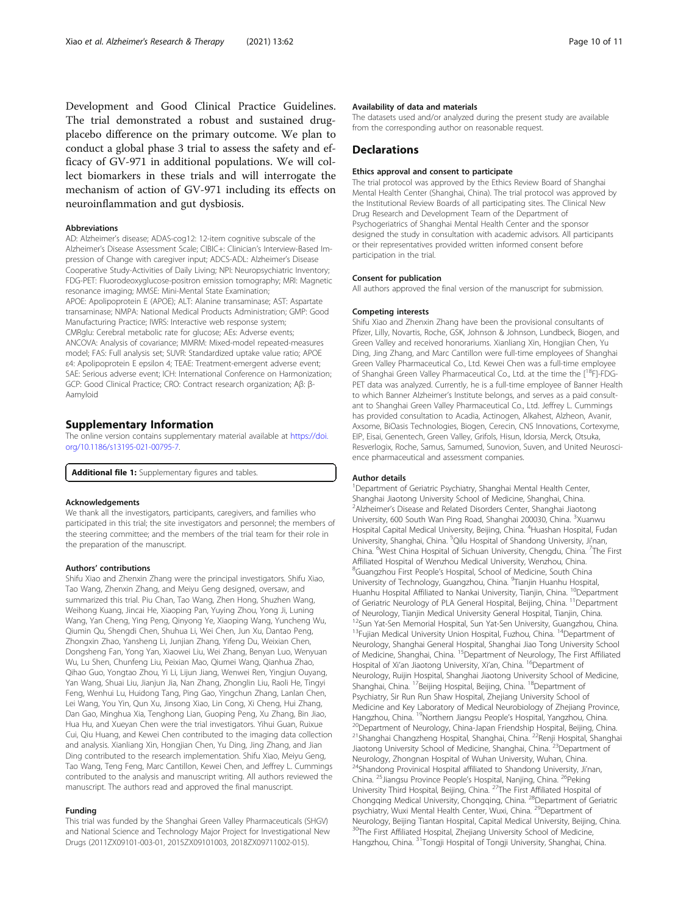<span id="page-9-0"></span>Development and Good Clinical Practice Guidelines. The trial demonstrated a robust and sustained drugplacebo difference on the primary outcome. We plan to conduct a global phase 3 trial to assess the safety and efficacy of GV-971 in additional populations. We will collect biomarkers in these trials and will interrogate the mechanism of action of GV-971 including its effects on neuroinflammation and gut dysbiosis.

#### Abbreviations

AD: Alzheimer's disease; ADAS-cog12: 12-item cognitive subscale of the Alzheimer's Disease Assessment Scale; CIBIC+: Clinician's Interview-Based Impression of Change with caregiver input; ADCS-ADL: Alzheimer's Disease Cooperative Study-Activities of Daily Living; NPI: Neuropsychiatric Inventory; FDG-PET: Fluorodeoxyglucose-positron emission tomography; MRI: Magnetic resonance imaging; MMSE: Mini-Mental State Examination; APOE: Apolipoprotein E (APOE); ALT: Alanine transaminase; AST: Aspartate transaminase; NMPA: National Medical Products Administration; GMP: Good Manufacturing Practice; IWRS: Interactive web response system; CMRglu: Cerebral metabolic rate for glucose; AEs: Adverse events; ANCOVA: Analysis of covariance; MMRM: Mixed-model repeated-measures model; FAS: Full analysis set; SUVR: Standardized uptake value ratio; APOE ε4: Apolipoprotein E epsilon 4; TEAE: Treatment-emergent adverse event; SAE: Serious adverse event; ICH: International Conference on Harmonization; GCP: Good Clinical Practice; CRO: Contract research organization; Aβ: β-Aamyloid

#### Supplementary Information

The online version contains supplementary material available at [https://doi.](https://doi.org/10.1186/s13195-021-00795-7) [org/10.1186/s13195-021-00795-7.](https://doi.org/10.1186/s13195-021-00795-7)

Additional file 1: Supplementary figures and tables.

#### Acknowledgements

We thank all the investigators, participants, caregivers, and families who participated in this trial; the site investigators and personnel; the members of the steering committee; and the members of the trial team for their role in the preparation of the manuscript.

#### Authors' contributions

Shifu Xiao and Zhenxin Zhang were the principal investigators. Shifu Xiao, Tao Wang, Zhenxin Zhang, and Meiyu Geng designed, oversaw, and summarized this trial. Piu Chan, Tao Wang, Zhen Hong, Shuzhen Wang, Weihong Kuang, Jincai He, Xiaoping Pan, Yuying Zhou, Yong Ji, Luning Wang, Yan Cheng, Ying Peng, Qinyong Ye, Xiaoping Wang, Yuncheng Wu, Qiumin Qu, Shengdi Chen, Shuhua Li, Wei Chen, Jun Xu, Dantao Peng, Zhongxin Zhao, Yansheng Li, Junjian Zhang, Yifeng Du, Weixian Chen, Dongsheng Fan, Yong Yan, Xiaowei Liu, Wei Zhang, Benyan Luo, Wenyuan Wu, Lu Shen, Chunfeng Liu, Peixian Mao, Qiumei Wang, Qianhua Zhao, Qihao Guo, Yongtao Zhou, Yi Li, Lijun Jiang, Wenwei Ren, Yingjun Ouyang, Yan Wang, Shuai Liu, Jianjun Jia, Nan Zhang, Zhonglin Liu, Raoli He, Tingyi Feng, Wenhui Lu, Huidong Tang, Ping Gao, Yingchun Zhang, Lanlan Chen, Lei Wang, You Yin, Qun Xu, Jinsong Xiao, Lin Cong, Xi Cheng, Hui Zhang, Dan Gao, Minghua Xia, Tenghong Lian, Guoping Peng, Xu Zhang, Bin Jiao, Hua Hu, and Xueyan Chen were the trial investigators. Yihui Guan, Ruixue Cui, Qiu Huang, and Kewei Chen contributed to the imaging data collection and analysis. Xianliang Xin, Hongjian Chen, Yu Ding, Jing Zhang, and Jian Ding contributed to the research implementation. Shifu Xiao, Meiyu Geng, Tao Wang, Teng Feng, Marc Cantillon, Kewei Chen, and Jeffrey L. Cummings contributed to the analysis and manuscript writing. All authors reviewed the manuscript. The authors read and approved the final manuscript.

#### Funding

This trial was funded by the Shanghai Green Valley Pharmaceuticals (SHGV) and National Science and Technology Major Project for Investigational New Drugs (2011ZX09101-003-01, 2015ZX09101003, 2018ZX09711002-015).

#### Availability of data and materials

The datasets used and/or analyzed during the present study are available from the corresponding author on reasonable request.

# **Declarations**

#### Ethics approval and consent to participate

The trial protocol was approved by the Ethics Review Board of Shanghai Mental Health Center (Shanghai, China). The trial protocol was approved by the Institutional Review Boards of all participating sites. The Clinical New Drug Research and Development Team of the Department of Psychogeriatrics of Shanghai Mental Health Center and the sponsor designed the study in consultation with academic advisors. All participants or their representatives provided written informed consent before participation in the trial.

#### Consent for publication

All authors approved the final version of the manuscript for submission.

#### Competing interests

Shifu Xiao and Zhenxin Zhang have been the provisional consultants of Pfizer, Lilly, Novartis, Roche, GSK, Johnson & Johnson, Lundbeck, Biogen, and Green Valley and received honorariums. Xianliang Xin, Hongjian Chen, Yu Ding, Jing Zhang, and Marc Cantillon were full-time employees of Shanghai Green Valley Pharmaceutical Co., Ltd. Kewei Chen was a full-time employee of Shanghai Green Valley Pharmaceutical Co., Ltd. at the time the [<sup>18</sup>F]-FDG-PET data was analyzed. Currently, he is a full-time employee of Banner Health to which Banner Alzheimer's Institute belongs, and serves as a paid consultant to Shanghai Green Valley Pharmaceutical Co., Ltd. Jeffrey L. Cummings has provided consultation to Acadia, Actinogen, Alkahest, Alzheon, Avanir, Axsome, BiOasis Technologies, Biogen, Cerecin, CNS Innovations, Cortexyme, EIP, Eisai, Genentech, Green Valley, Grifols, Hisun, Idorsia, Merck, Otsuka, Resverlogix, Roche, Samus, Samumed, Sunovion, Suven, and United Neuroscience pharmaceutical and assessment companies.

#### Author details

<sup>1</sup>Department of Geriatric Psychiatry, Shanghai Mental Health Center, Shanghai Jiaotong University School of Medicine, Shanghai, China. <sup>2</sup>Alzheimer's Disease and Related Disorders Center, Shanghai Jiaotong University, 600 South Wan Ping Road, Shanghai 200030, China. <sup>3</sup>Xuanwu Hospital Capital Medical University, Beijing, China. <sup>4</sup>Huashan Hospital, Fudan University, Shanghai, China. <sup>5</sup>Qilu Hospital of Shandong University, Ji'nan China. <sup>6</sup>West China Hospital of Sichuan University, Chengdu, China. <sup>7</sup>The First Affiliated Hospital of Wenzhou Medical University, Wenzhou, China. 8 Guangzhou First People's Hospital, School of Medicine, South China University of Technology, Guangzhou, China. <sup>9</sup>Tianjin Huanhu Hospital, Huanhu Hospital Affiliated to Nankai University, Tianjin, China. <sup>10</sup>Department of Geriatric Neurology of PLA General Hospital, Beijing, China. <sup>11</sup>Department of Neurology, Tianjin Medical University General Hospital, Tianjin, China. 12Sun Yat-Sen Memorial Hospital, Sun Yat-Sen University, Guangzhou, China. <sup>13</sup>Fujian Medical University Union Hospital, Fuzhou, China. <sup>14</sup>Department of Neurology, Shanghai General Hospital, Shanghai Jiao Tong University School of Medicine, Shanghai, China. 15Department of Neurology, The First Affiliated Hospital of Xi'an Jiaotong University, Xi'an, China. <sup>16</sup>Department of Neurology, Ruijin Hospital, Shanghai Jiaotong University School of Medicine, Shanghai, China. <sup>17</sup>Beijing Hospital, Beijing, China. <sup>18</sup>Department of Psychiatry, Sir Run Run Shaw Hospital, Zhejiang University School of Medicine and Key Laboratory of Medical Neurobiology of Zhejiang Province, Hangzhou, China. <sup>19</sup>Northern Jiangsu People's Hospital, Yangzhou, China. Hangzhou, China. <sup>19</sup>Northern Jiangsu People's Hospital, Yangzhou, China.<br><sup>20</sup>Department of Neurology, China-Japan Friendship Hospital, Beijing, China. <sup>21</sup>Shanghai Changzheng Hospital, Shanghai, China. <sup>22</sup>Renji Hospital, Shanghai Jiaotong University School of Medicine, Shanghai, China. 23Department of Neurology, Zhongnan Hospital of Wuhan University, Wuhan, China. <sup>24</sup>Shandong Provinical Hospital affiliated to Shandong University, Ji'nan, China. <sup>25</sup>Jiangsu Province People's Hospital, Nanjing, China. <sup>26</sup>Peking University Third Hospital, Beijing, China. 27The First Affiliated Hospital of Chongqing Medical University, Chongqing, China. <sup>28</sup>Department of Geriatric psychiatry, Wuxi Mental Health Center, Wuxi, China. <sup>29</sup>Department of Neurology, Beijing Tiantan Hospital, Capital Medical University, Beijing, China. <sup>30</sup>The First Affiliated Hospital, Zhejiang University School of Medicine, Hangzhou, China. <sup>31</sup>Tongji Hospital of Tongji University, Shanghai, China.